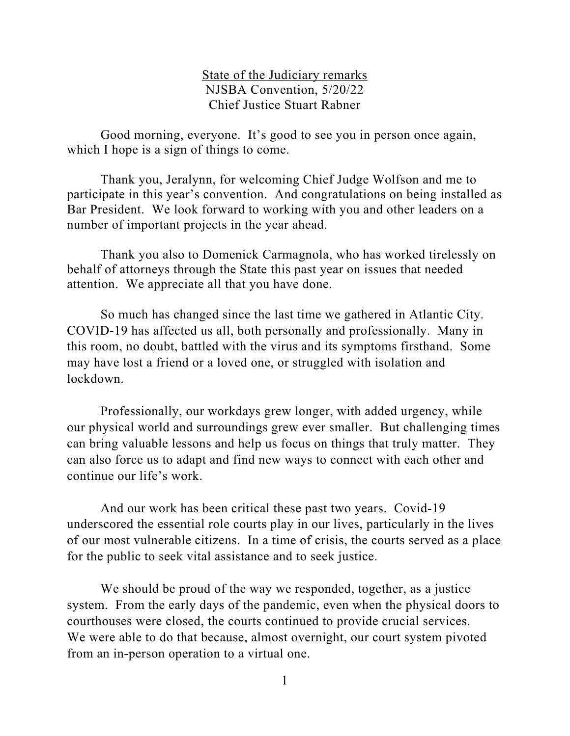State of the Judiciary remarks NJSBA Convention, 5/20/22 Chief Justice Stuart Rabner

Good morning, everyone. It's good to see you in person once again, which I hope is a sign of things to come.

Thank you, Jeralynn, for welcoming Chief Judge Wolfson and me to participate in this year's convention. And congratulations on being installed as Bar President. We look forward to working with you and other leaders on a number of important projects in the year ahead.

Thank you also to Domenick Carmagnola, who has worked tirelessly on behalf of attorneys through the State this past year on issues that needed attention. We appreciate all that you have done.

 So much has changed since the last time we gathered in Atlantic City. COVID-19 has affected us all, both personally and professionally. Many in this room, no doubt, battled with the virus and its symptoms firsthand. Some may have lost a friend or a loved one, or struggled with isolation and lockdown.

Professionally, our workdays grew longer, with added urgency, while our physical world and surroundings grew ever smaller. But challenging times can bring valuable lessons and help us focus on things that truly matter. They can also force us to adapt and find new ways to connect with each other and continue our life's work.

And our work has been critical these past two years. Covid-19 underscored the essential role courts play in our lives, particularly in the lives of our most vulnerable citizens. In a time of crisis, the courts served as a place for the public to seek vital assistance and to seek justice.

We should be proud of the way we responded, together, as a justice system. From the early days of the pandemic, even when the physical doors to courthouses were closed, the courts continued to provide crucial services. We were able to do that because, almost overnight, our court system pivoted from an in-person operation to a virtual one.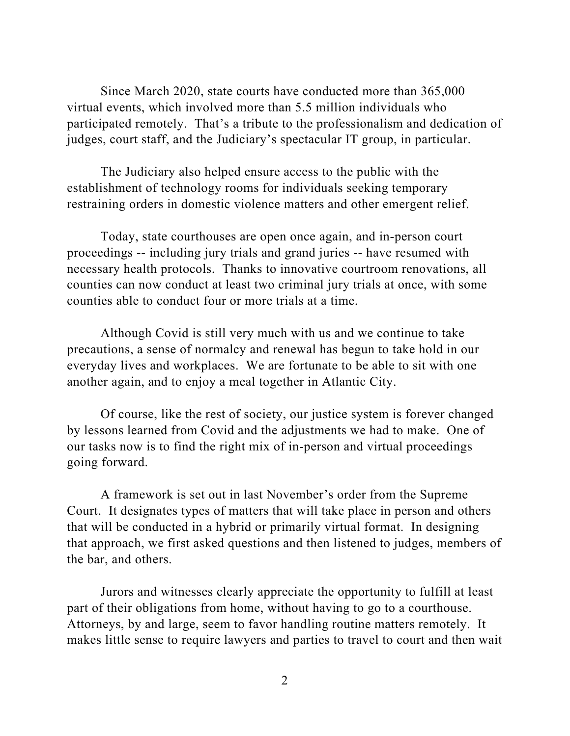Since March 2020, state courts have conducted more than 365,000 virtual events, which involved more than 5.5 million individuals who participated remotely. That's a tribute to the professionalism and dedication of judges, court staff, and the Judiciary's spectacular IT group, in particular.

The Judiciary also helped ensure access to the public with the establishment of technology rooms for individuals seeking temporary restraining orders in domestic violence matters and other emergent relief.

Today, state courthouses are open once again, and in-person court proceedings -- including jury trials and grand juries -- have resumed with necessary health protocols. Thanks to innovative courtroom renovations, all counties can now conduct at least two criminal jury trials at once, with some counties able to conduct four or more trials at a time.

Although Covid is still very much with us and we continue to take precautions, a sense of normalcy and renewal has begun to take hold in our everyday lives and workplaces. We are fortunate to be able to sit with one another again, and to enjoy a meal together in Atlantic City.

Of course, like the rest of society, our justice system is forever changed by lessons learned from Covid and the adjustments we had to make. One of our tasks now is to find the right mix of in-person and virtual proceedings going forward.

A framework is set out in last November's order from the Supreme Court. It designates types of matters that will take place in person and others that will be conducted in a hybrid or primarily virtual format. In designing that approach, we first asked questions and then listened to judges, members of the bar, and others.

Jurors and witnesses clearly appreciate the opportunity to fulfill at least part of their obligations from home, without having to go to a courthouse. Attorneys, by and large, seem to favor handling routine matters remotely. It makes little sense to require lawyers and parties to travel to court and then wait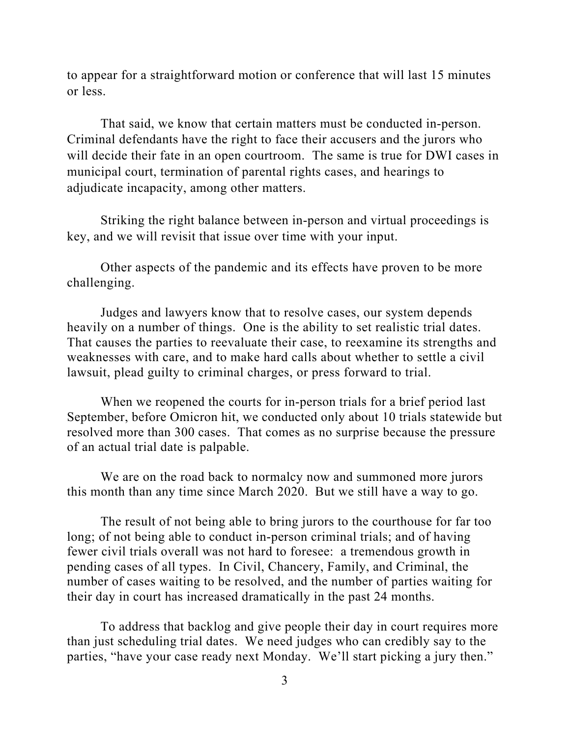to appear for a straightforward motion or conference that will last 15 minutes or less.

That said, we know that certain matters must be conducted in-person. Criminal defendants have the right to face their accusers and the jurors who will decide their fate in an open courtroom. The same is true for DWI cases in municipal court, termination of parental rights cases, and hearings to adjudicate incapacity, among other matters.

Striking the right balance between in-person and virtual proceedings is key, and we will revisit that issue over time with your input.

Other aspects of the pandemic and its effects have proven to be more challenging.

Judges and lawyers know that to resolve cases, our system depends heavily on a number of things. One is the ability to set realistic trial dates. That causes the parties to reevaluate their case, to reexamine its strengths and weaknesses with care, and to make hard calls about whether to settle a civil lawsuit, plead guilty to criminal charges, or press forward to trial.

When we reopened the courts for in-person trials for a brief period last September, before Omicron hit, we conducted only about 10 trials statewide but resolved more than 300 cases. That comes as no surprise because the pressure of an actual trial date is palpable.

We are on the road back to normalcy now and summoned more jurors this month than any time since March 2020. But we still have a way to go.

The result of not being able to bring jurors to the courthouse for far too long; of not being able to conduct in-person criminal trials; and of having fewer civil trials overall was not hard to foresee: a tremendous growth in pending cases of all types. In Civil, Chancery, Family, and Criminal, the number of cases waiting to be resolved, and the number of parties waiting for their day in court has increased dramatically in the past 24 months.

To address that backlog and give people their day in court requires more than just scheduling trial dates. We need judges who can credibly say to the parties, "have your case ready next Monday. We'll start picking a jury then."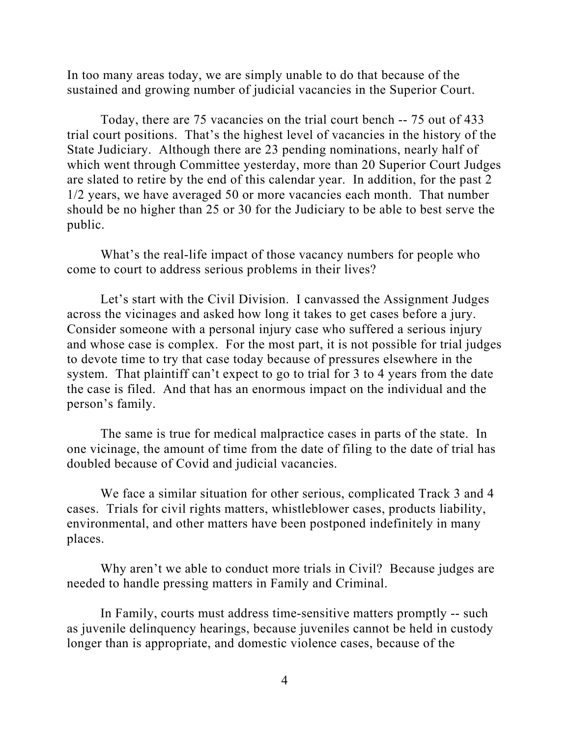In too many areas today, we are simply unable to do that because of the sustained and growing number of judicial vacancies in the Superior Court.

Today, there are 75 vacancies on the trial court bench -- 75 out of 433 trial court positions. That's the highest level of vacancies in the history of the State Judiciary. Although there are 23 pending nominations, nearly half of which went through Committee yesterday, more than 20 Superior Court Judges are slated to retire by the end of this calendar year. In addition, for the past 2 1/2 years, we have averaged 50 or more vacancies each month. That number should be no higher than 25 or 30 for the Judiciary to be able to best serve the public.

What's the real-life impact of those vacancy numbers for people who come to court to address serious problems in their lives?

Let's start with the Civil Division. I canvassed the Assignment Judges across the vicinages and asked how long it takes to get cases before a jury. Consider someone with a personal injury case who suffered a serious injury and whose case is complex. For the most part, it is not possible for trial judges to devote time to try that case today because of pressures elsewhere in the system. That plaintiff can't expect to go to trial for 3 to 4 years from the date the case is filed. And that has an enormous impact on the individual and the person's family.

The same is true for medical malpractice cases in parts of the state. In one vicinage, the amount of time from the date of filing to the date of trial has doubled because of Covid and judicial vacancies.

We face a similar situation for other serious, complicated Track 3 and 4 cases. Trials for civil rights matters, whistleblower cases, products liability, environmental, and other matters have been postponed indefinitely in many places.

Why aren't we able to conduct more trials in Civil? Because judges are needed to handle pressing matters in Family and Criminal.

In Family, courts must address time-sensitive matters promptly -- such as juvenile delinquency hearings, because juveniles cannot be held in custody longer than is appropriate, and domestic violence cases, because of the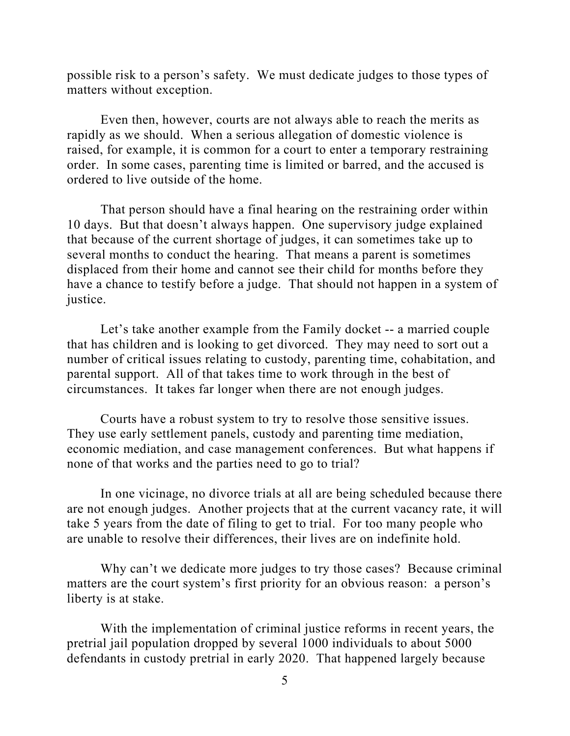possible risk to a person's safety. We must dedicate judges to those types of matters without exception.

Even then, however, courts are not always able to reach the merits as rapidly as we should. When a serious allegation of domestic violence is raised, for example, it is common for a court to enter a temporary restraining order. In some cases, parenting time is limited or barred, and the accused is ordered to live outside of the home.

That person should have a final hearing on the restraining order within 10 days. But that doesn't always happen. One supervisory judge explained that because of the current shortage of judges, it can sometimes take up to several months to conduct the hearing. That means a parent is sometimes displaced from their home and cannot see their child for months before they have a chance to testify before a judge. That should not happen in a system of justice.

Let's take another example from the Family docket -- a married couple that has children and is looking to get divorced. They may need to sort out a number of critical issues relating to custody, parenting time, cohabitation, and parental support. All of that takes time to work through in the best of circumstances. It takes far longer when there are not enough judges.

Courts have a robust system to try to resolve those sensitive issues. They use early settlement panels, custody and parenting time mediation, economic mediation, and case management conferences. But what happens if none of that works and the parties need to go to trial?

In one vicinage, no divorce trials at all are being scheduled because there are not enough judges. Another projects that at the current vacancy rate, it will take 5 years from the date of filing to get to trial. For too many people who are unable to resolve their differences, their lives are on indefinite hold.

Why can't we dedicate more judges to try those cases? Because criminal matters are the court system's first priority for an obvious reason: a person's liberty is at stake.

With the implementation of criminal justice reforms in recent years, the pretrial jail population dropped by several 1000 individuals to about 5000 defendants in custody pretrial in early 2020. That happened largely because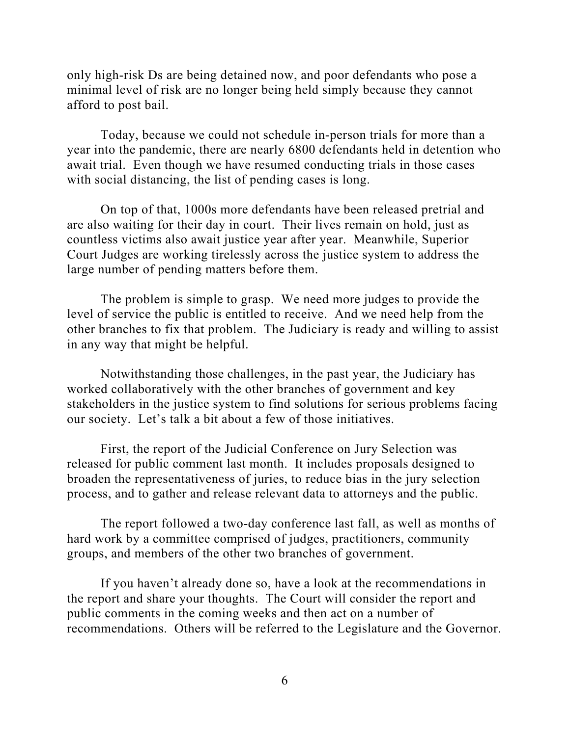only high-risk Ds are being detained now, and poor defendants who pose a minimal level of risk are no longer being held simply because they cannot afford to post bail.

Today, because we could not schedule in-person trials for more than a year into the pandemic, there are nearly 6800 defendants held in detention who await trial. Even though we have resumed conducting trials in those cases with social distancing, the list of pending cases is long.

On top of that, 1000s more defendants have been released pretrial and are also waiting for their day in court. Their lives remain on hold, just as countless victims also await justice year after year. Meanwhile, Superior Court Judges are working tirelessly across the justice system to address the large number of pending matters before them.

The problem is simple to grasp. We need more judges to provide the level of service the public is entitled to receive. And we need help from the other branches to fix that problem. The Judiciary is ready and willing to assist in any way that might be helpful.

 Notwithstanding those challenges, in the past year, the Judiciary has worked collaboratively with the other branches of government and key stakeholders in the justice system to find solutions for serious problems facing our society. Let's talk a bit about a few of those initiatives.

First, the report of the Judicial Conference on Jury Selection was released for public comment last month. It includes proposals designed to broaden the representativeness of juries, to reduce bias in the jury selection process, and to gather and release relevant data to attorneys and the public.

The report followed a two-day conference last fall, as well as months of hard work by a committee comprised of judges, practitioners, community groups, and members of the other two branches of government.

If you haven't already done so, have a look at the recommendations in the report and share your thoughts. The Court will consider the report and public comments in the coming weeks and then act on a number of recommendations. Others will be referred to the Legislature and the Governor.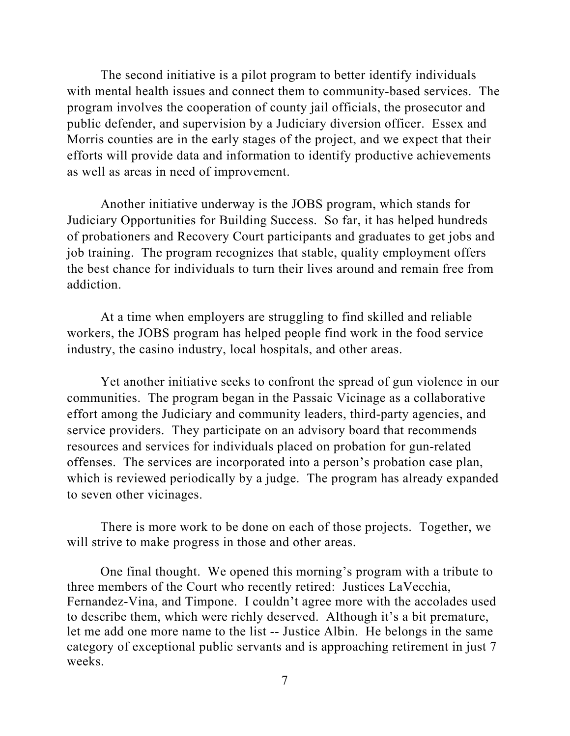The second initiative is a pilot program to better identify individuals with mental health issues and connect them to community-based services. The program involves the cooperation of county jail officials, the prosecutor and public defender, and supervision by a Judiciary diversion officer. Essex and Morris counties are in the early stages of the project, and we expect that their efforts will provide data and information to identify productive achievements as well as areas in need of improvement.

Another initiative underway is the JOBS program, which stands for Judiciary Opportunities for Building Success. So far, it has helped hundreds of probationers and Recovery Court participants and graduates to get jobs and job training. The program recognizes that stable, quality employment offers the best chance for individuals to turn their lives around and remain free from addiction.

At a time when employers are struggling to find skilled and reliable workers, the JOBS program has helped people find work in the food service industry, the casino industry, local hospitals, and other areas.

Yet another initiative seeks to confront the spread of gun violence in our communities. The program began in the Passaic Vicinage as a collaborative effort among the Judiciary and community leaders, third-party agencies, and service providers. They participate on an advisory board that recommends resources and services for individuals placed on probation for gun-related offenses. The services are incorporated into a person's probation case plan, which is reviewed periodically by a judge. The program has already expanded to seven other vicinages.

There is more work to be done on each of those projects. Together, we will strive to make progress in those and other areas.

One final thought. We opened this morning's program with a tribute to three members of the Court who recently retired: Justices LaVecchia, Fernandez-Vina, and Timpone. I couldn't agree more with the accolades used to describe them, which were richly deserved. Although it's a bit premature, let me add one more name to the list -- Justice Albin. He belongs in the same category of exceptional public servants and is approaching retirement in just 7 weeks.